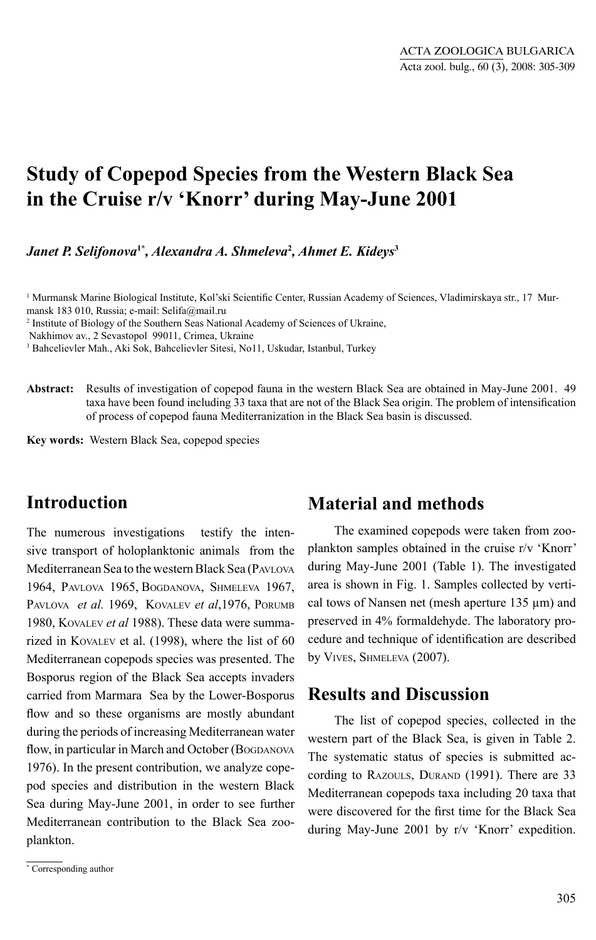# **Study of Copepod Species from the Western Black Sea in the Cruise r/v 'Knorr' during May-June 2001**

*Janet P. Selifonova***1\****, Alexandra A. Shmeleva***<sup>2</sup>***, Ahmet E. Kideys***<sup>3</sup>**

<sup>1</sup> Murmansk Marine Biological Institute, Kol'ski Scientific Center, Russian Academy of Sciences, Vladimirskaya str., 17 Murmansk 183 010, Russia; е-mail: Selifa@mail.ru

2 Institute of Biology of the Southern Seas National Academy of Sciences of Ukraine,

3 Bahcelievler Mah., Aki Sok, Bahcelievler Sitesi, No11, Uskudar, Istanbul, Turkey

**Abstract:** Results of investigation of copepod fauna in the western Black Sea are obtained in May-June 2001. 49 taxa have been found including 33 taxa that are not of the Black Sea origin. The problem of intensification of process of copepod fauna Mediterranization in the Black Sea basin is discussed.

**Key words:** Western Black Sea, copepod species

## **Introduction**

The numerous investigations testify the intensive transport of holoplanktonic animals from the Mediterranean Sea to the western Black Sea (PAVLOVA 1964, PAVLOVA 1965, BOGDANOVA, SHMELEVA 1967, PAVLOVA *et al.* 1969, KOVALEV *et al*,1976, PORUMB 1980, KOVALEV *et al* 1988). These data were summarized in KOVALEV et al. (1998), where the list of 60 Mediterranean copepods species was presented. The Bosporus region of the Black Sea accepts invaders carried from Marmara Sea by the Lower-Bosporus flow and so these organisms are mostly abundant during the periods of increasing Mediterranean water flow, in particular in March and October (BOGDANOVA 1976). In the present contribution, we analyze copepod species and distribution in the western Black Sea during May-June 2001, in order to see further Mediterranean contribution to the Black Sea zooplankton.

## **Material and methods**

The examined copepods were taken from zooplankton samples obtained in the cruise r/v 'Knorr' during May-June 2001 (Table 1). The investigated area is shown in Fig. 1. Samples collected by vertical tows of Nansen net (mesh aperture 135 μm) and preserved in 4% formaldehyde. The laboratory procedure and technique of identification are described by VIVES, SHMELEVA (2007).

### **Results and Discussion**

The list of copepod species, collected in the western part of the Black Sea, is given in Table 2. The systematic status of species is submitted according to RAZOULS, DURAND (1991). There are 33 Mediterranean copepods taxa including 20 taxa that were discovered for the first time for the Black Sea during May-June 2001 by r/v 'Knorr' expedition.

Nakhimov av., 2 Sevastopol 99011, Crimea, Ukraine

<sup>\*</sup> Corresponding author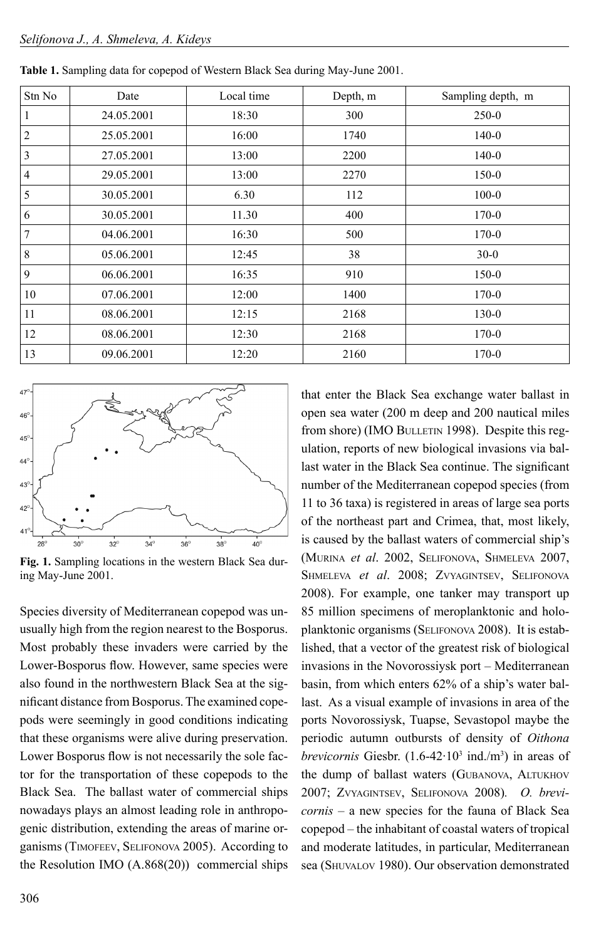| Stn No         | Date       | Local time | Depth, m | Sampling depth, m |  |
|----------------|------------|------------|----------|-------------------|--|
|                | 24.05.2001 | 18:30      | 300      | $250-0$           |  |
| $\overline{c}$ | 25.05.2001 | 16:00      | 1740     | $140-0$           |  |
| 3              | 27.05.2001 | 13:00      | 2200     | $140 - 0$         |  |
| 4              | 29.05.2001 | 13:00      | 2270     | $150-0$           |  |
| 5              | 30.05.2001 | 6.30       | 112      | $100 - 0$         |  |
| 6              | 30.05.2001 | 11.30      | 400      | $170 - 0$         |  |
| 7              | 04.06.2001 | 16:30      | 500      | $170-0$           |  |
| $\,8\,$        | 05.06.2001 | 12:45      | 38       | $30 - 0$          |  |
| 9              | 06.06.2001 | 16:35      | 910      | 150-0             |  |
| 10             | 07.06.2001 | 12:00      | 1400     | $170-0$           |  |
| 11             | 08.06.2001 | 12:15      | 2168     | 130-0             |  |
| 12             | 08.06.2001 | 12:30      | 2168     | $170-0$           |  |
| 13             | 09.06.2001 | 12:20      | 2160     | $170-0$           |  |

| <b>Table 1.</b> Sampling data for copepod of Western Black Sea during May-June 2001. |  |
|--------------------------------------------------------------------------------------|--|
|--------------------------------------------------------------------------------------|--|



**Fig. 1.** Sampling locations in the western Black Sea during May-June 2001.

Species diversity of Mediterranean copepod was unusually high from the region nearest to the Bosporus. Most probably these invaders were carried by the Lower-Bosporus flow. However, same species were also found in the northwestern Black Sea at the significant distance from Bosporus. The examined copepods were seemingly in good conditions indicating that these organisms were alive during preservation. Lower Bosporus flow is not necessarily the sole factor for the transportation of these copepods to the Black Sea. The ballast water of commercial ships nowadays plays an almost leading role in anthropogenic distribution, extending the areas of marine organisms (TIMOFEEV, SELIFONOVA 2005). According to the Resolution IMO (А.868(20)) commercial ships

that enter the Black Sea exchange water ballast in open sea water (200 m deep and 200 nautical miles from shore) (IMO BULLETIN 1998). Despite this regulation, reports of new biological invasions via ballast water in the Black Sea continue. The significant number of the Mediterranean copepod species (from 11 to 36 taxa) is registered in areas of large sea ports of the northeast part and Crimea, that, most likely, is caused by the ballast waters of commercial ship's (MURINA *et al*. 2002, SELIFONOVA, SHMELEVA 2007, SHMELEVA *et al*. 2008; ZVYAGINTSEV, SELIFONOVA 2008). For example, one tanker may transport up 85 million specimens of meroplanktonic and holoplanktonic organisms (SELIFONOVA 2008). It is established, that a vector of the greatest risk of biological invasions in the Novorossiysk port – Mediterranean basin, from which enters 62% of a ship's water ballast. As a visual example of invasions in area of the ports Novorossiysk, Tuapse, Sevastopol maybe the periodic autumn outbursts of density of *Oithona brevicornis* Giesbr.  $(1.6-42.10^3 \text{ ind.}/\text{m}^3)$  in areas of the dump of ballast waters (GUBANOVA, ALTUKHOV 2007; ZVYAGINTSEV, SELIFONOVA 2008)*. O. brevicornis* – a new species for the fauna of Black Sea copepod – the inhabitant of coastal waters of tropical and moderate latitudes, in particular, Mediterranean sea (SHUVALOV 1980). Our observation demonstrated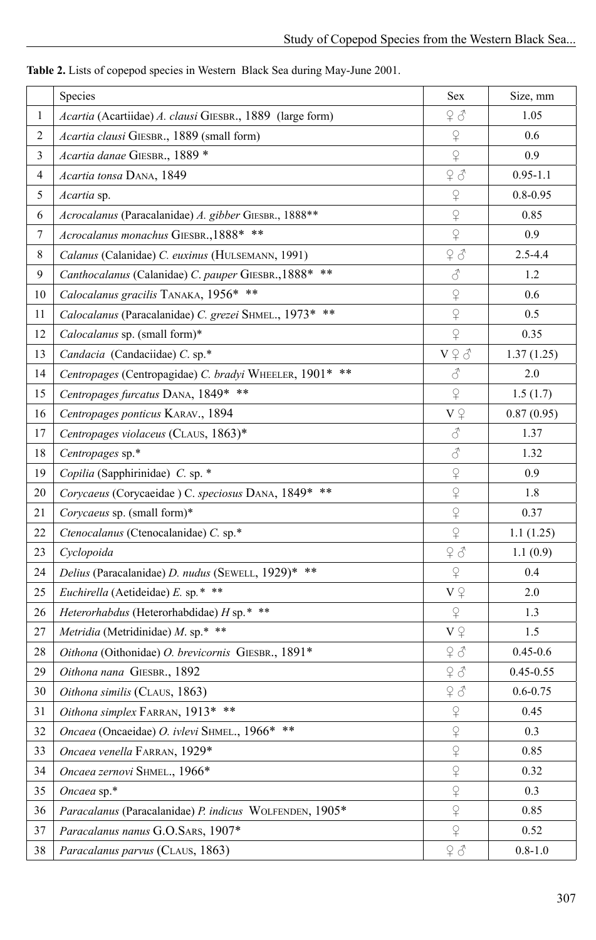|                | Species                                                   | Sex                                         | Size, mm      |
|----------------|-----------------------------------------------------------|---------------------------------------------|---------------|
| $\mathbf{1}$   | Acartia (Acartiidae) A. clausi GIESBR., 1889 (large form) | 7d                                          | 1.05          |
| $\overline{2}$ | Acartia clausi GIESBR., 1889 (small form)                 | $\operatorname{\mathsf{S}}$                 | 0.6           |
| $\overline{3}$ | Acartia danae GIESBR., 1889 *                             | $\hbox{$\subsetsim$}$                       | 0.9           |
| $\overline{4}$ | Acartia tonsa DANA, 1849                                  | 7d                                          | $0.95 - 1.1$  |
| 5              | Acartia sp.                                               | $\operatorname{\mathsf{P}}$                 | $0.8 - 0.95$  |
| 6              | Acrocalanus (Paracalanidae) A. gibber GIESBR., 1888**     | $\operatorname{\mathsf{P}}$                 | 0.85          |
| $\tau$         | Acrocalanus monachus GIESBR., 1888* **                    | $\varphi$                                   | 0.9           |
| 8              | Calanus (Calanidae) C. euxinus (HULSEMANN, 1991)          | 2d                                          | $2.5 - 4.4$   |
| 9              | Canthocalanus (Calanidae) C. pauper GIESBR., 1888* **     | $\vec{\mathcal{S}}$                         | 1.2           |
| 10             | Calocalanus gracilis TANAKA, 1956* **                     | $\operatorname{\mathsf{S}}$                 | 0.6           |
| 11             | Calocalanus (Paracalanidae) C. grezei SHMEL., 1973* **    | $\overline{P}$                              | 0.5           |
| 12             | Calocalanus sp. (small form)*                             | $\varphi$                                   | 0.35          |
| 13             | Candacia (Candaciidae) C. sp.*                            | $V\mathbin{\hat\vee}\mathbin{\hat\lozenge}$ | 1.37(1.25)    |
| 14             | Centropages (Centropagidae) C. bradyi WHEELER, 1901* **   | $\vec{\mathcal{S}}$                         | 2.0           |
| 15             | Centropages furcatus DANA, 1849* **                       | $\operatorname{\mathsf{P}}$                 | 1.5(1.7)      |
| 16             | Centropages ponticus KARAV., 1894                         | $V\ \widehat{\div}$                         | 0.87(0.95)    |
| 17             | Centropages violaceus (CLAUS, 1863)*                      | $\vec{\mathcal{S}}$                         | 1.37          |
| 18             | Centropages sp.*                                          | $\vec{\mathcal{S}}$                         | 1.32          |
| 19             | Copilia (Sapphirinidae) C. sp. *                          | $\mathsf{P}$                                | 0.9           |
| $20\,$         | Corycaeus (Corycaeidae) C. speciosus DANA, 1849* **       | $\varphi$                                   | 1.8           |
| 21             | Corycaeus sp. (small form)*                               | $\operatorname{\mathsf{P}}$                 | 0.37          |
| 22             | Ctenocalanus (Ctenocalanidae) C. sp.*                     | $\operatorname{\mathsf{P}}$                 | 1.1(1.25)     |
| 23             | Cyclopoida                                                |                                             | 1.1(0.9)      |
| 24             | Delius (Paracalanidae) D. nudus (SEWELL, 1929)* **        | $\operatorname{\mathsf{P}}$                 | 0.4           |
| 25             | Euchirella (Aetideidae) E. sp.* **                        | $V \nightharpoonup$                         | 2.0           |
| 26             | Heterorhabdus (Heterorhabdidae) H sp.* **                 | $\operatorname{\mathsf{P}}$                 | 1.3           |
| 27             | Metridia (Metridinidae) M. sp.* **                        | $V \nightharpoonup$                         | 1.5           |
| 28             | Oithona (Oithonidae) O. brevicornis GIESBR., 1891*        | 98                                          | $0.45 - 0.6$  |
| 29             | Oithona nana GIESBR., 1892                                | 96                                          | $0.45 - 0.55$ |
| 30             | Oithona similis (CLAUS, 1863)                             | 96                                          | $0.6 - 0.75$  |
| 31             | Oithona simplex FARRAN, 1913* **                          | $\varphi$                                   | 0.45          |
| 32             | Oncaea (Oncaeidae) O. ivlevi SHMEL., 1966* **             | $\operatorname{\mathsf{S}}$                 | 0.3           |
| 33             | Oncaea venella FARRAN, 1929*                              | $\operatorname{\mathsf{S}}$                 | 0.85          |
| 34             | Oncaea zernovi SHMEL., 1966*                              | $\hbox{$\subsetsim$}$                       | 0.32          |
| 35             | Oncaea sp.*                                               | $\operatorname{\mathsf{S}}$                 | 0.3           |
| 36             | Paracalanus (Paracalanidae) P. indicus WOLFENDEN, 1905*   | $\operatorname{\mathsf{S}}$                 | 0.85          |
| 37             | Paracalanus nanus G.O.SARS, 1907*                         | $\overline{P}$                              | 0.52          |
| 38             | Paracalanus parvus (CLAUS, 1863)                          | 98                                          | $0.8 - 1.0$   |

**Table 2.** Lists of copepod species in Western Black Sea during May-June 2001.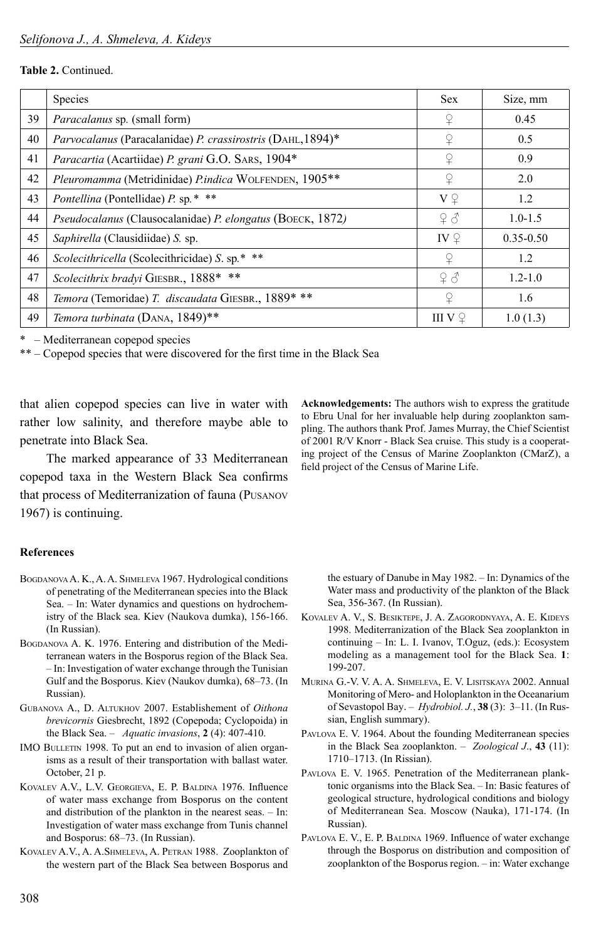#### **Table 2.** Continued.

|    | Species                                                     | <b>Sex</b>          | Size, mm      |
|----|-------------------------------------------------------------|---------------------|---------------|
| 39 | Paracalanus sp. (small form)                                | ¥                   | 0.45          |
| 40 | Parvocalanus (Paracalanidae) P. crassirostris (DAHL, 1894)* |                     | 0.5           |
| 41 | Paracartia (Acartiidae) P. grani G.O. SARS, 1904*           |                     | 0.9           |
| 42 | Pleuromamma (Metridinidae) P.indica WOLFENDEN, 1905 **      | $\Omega$            | 2.0           |
| 43 | Pontellina (Pontellidae) P. sp.* **                         | $V \nightharpoonup$ | 1.2           |
| 44 | Pseudocalanus (Clausocalanidae) P. elongatus (BOECK, 1872)  | 9d                  | $1.0 - 1.5$   |
| 45 | Saphirella (Clausidiidae) S. sp.                            | IV $\Omega$         | $0.35 - 0.50$ |
| 46 | Scolecithricella (Scolecithricidae) S. sp.* **              | $\Omega$            | 1.2           |
| 47 | Scolecithrix bradyi GIESBR., 1888* **                       | 9d                  | $1.2 - 1.0$   |
| 48 | Temora (Temoridae) T. discaudata GIESBR., 1889* **          | $\Omega$            | 1.6           |
| 49 | Temora turbinata (DANA, 1849)**                             | III V $\mathcal{Q}$ | 1.0(1.3)      |

\* – Mediterranean copepod species

 $**$  – Copepod species that were discovered for the first time in the Black Sea

that alien copepod species can live in water with rather low salinity, and therefore maybe able to penetrate into Black Sea.

The marked appearance of 33 Mediterranean copepod taxa in the Western Black Sea confirms that process of Mediterranization of fauna (PUSANOV 1967) is continuing.

#### **References**

- BOGDANOVA A. K., A. A. SHMELEVA 1967. Hydrological conditions of penetrating of the Mediterranean species into the Black Sea. – In: Water dynamics and questions on hydrochemistry of the Black sea. Kiev (Naukova dumka), 156-166. (In Russian).
- BOGDANOVA A. K. 1976. Entering and distribution of the Mediterranean waters in the Bosporus region of the Black Sea. – In: Investigation of water exchange through the Tunisian Gulf and the Bosporus. Kiev (Naukov dumka), 68–73. (In Russian).
- GUBANOVA A., D. ALTUKHOV 2007. Establishement of *Oithona brevicornis* Giesbrecht, 1892 (Copepoda; Cyclopoida) in the Black Sea. – *Aquatic invasions*, **2** (4): 407-410.
- IMO BULLETIN 1998. To put an end to invasion of alien organisms as a result of their transportation with ballast water. October, 21 p.
- KOVALEV A.V., L.V. GEORGIEVA, E. P. BALDINA 1976. Influence of water mass exchange from Bosporus on the content and distribution of the plankton in the nearest seas. – In: Investigation of water mass exchange from Tunis channel and Bosporus: 68–73. (In Russian).
- KOVALEV A.V., A. A.SHMELEVA, A. PETRAN 1988. Zooplankton of the western part of the Black Sea between Bosporus and

**Acknowledgements:** The authors wish to express the gratitude to Ebru Unal for her invaluable help during zooplankton sampling. The authors thank Prof. James Murray, the Chief Scientist of 2001 R/V Knorr - Black Sea cruise. This study is a cooperating project of the Census of Marine Zooplankton (CMarZ), a field project of the Census of Marine Life.

the estuary of Danube in May 1982. – In: Dynamics of the Water mass and productivity of the plankton of the Black Sea, 356-367. (In Russian).

- KOVALEV A. V., S. BESIKTEPE, J. A. ZAGORODNYAYA, A. E. KIDEYS 1998. Mediterranization of the Black Sea zooplankton in continuing – In: L. I. Ivanov, T.Oguz, (eds.): Ecosystem modeling as a management tool for the Black Sea. **1**: 199-207.
- MURINA G.-V. V. A. A. SHMELEVA, E. V. LISITSKAYA 2002. Annual Monitoring of Mero- and Holoplankton in the Oceanarium of Sevastopol Bay. – *Hydrobiol. J.*, **38** (3): 3–11. (In Russian, English summary).
- PAVLOVA E. V. 1964. About the founding Mediterranean species in the Black Sea zooplankton. – *Zoological J*., **43** (11): 1710–1713. (In Rissian).
- PAVLOVA E. V. 1965. Penetration of the Mediterranean planktonic organisms into the Black Sea. – In: Basic features of geological structure, hydrological conditions and biology of Mediterranean Sea. Moscow (Nauka), 171-174. (In Russian).
- PAVLOVA E. V., E. P. BALDINA 1969. Influence of water exchange through the Bosporus on distribution and composition of zooplankton of the Bosporus region. – in: Water exchange